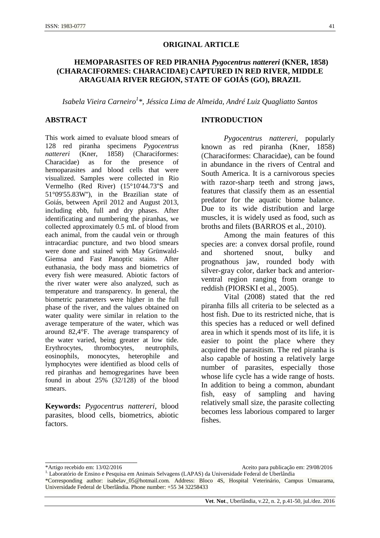#### **ORIGINAL ARTICLE**

# **HEMOPARASITES OF RED PIRANHA** *Pygocentrus nattereri* **(KNER, 1858) (CHARACIFORMES: CHARACIDAE) CAPTURED IN RED RIVER, MIDDLE ARAGUAIA RIVER REGION, STATE OF GOIÁS (GO), BRAZIL**

*Isabela Vieira Carneiro<sup>1</sup> \*, Jéssica Lima de Almeida, André Luiz Quagliatto Santos*

#### **ABSTRACT**

This work aimed to evaluate blood smears of 128 red piranha specimens *Pygocentrus nattereri* (Kner, 1858) (Characiformes: Characidae) as for the presence of hemoparasites and blood cells that were visualized. Samples were collected in Rio Vermelho (Red River) (15°10'44.73''S and 51°09'55.83W''), in the Brazilian state of Goiás, between April 2012 and August 2013, including ebb, full and dry phases. After identificating and numbering the piranhas, we collected approximately 0.5 mL of blood from each animal, from the caudal vein or through intracardiac puncture, and two blood smears were done and stained with May Grünwald-Giemsa and Fast Panoptic stains. After euthanasia, the body mass and biometrics of every fish were measured. Abiotic factors of the river water were also analyzed, such as temperature and transparency. In general, the biometric parameters were higher in the full phase of the river, and the values obtained on water quality were similar in relation to the average temperature of the water, which was around 82,4°F. The average transparency of the water varied, being greater at low tide. Erythrocytes, thrombocytes, neutrophils, eosinophils, monocytes, heterophile and lymphocytes were identified as blood cells of red piranhas and hemogregarines have been found in about 25% (32/128) of the blood smears.

**Keywords:** *Pygocentrus nattereri*, blood parasites, blood cells, biometrics, abiotic factors.

#### **INTRODUCTION**

*Pygocentrus nattereri*, popularly known as red piranha (Kner, 1858) (Characiformes: Characidae), can be found in abundance in the rivers of Central and South America. It is a carnivorous species with razor-sharp teeth and strong jaws, features that classify them as an essential predator for the aquatic biome balance. Due to its wide distribution and large muscles, it is widely used as food, such as broths and filets (BARROS et al., 2010).

Among the main features of this species are: a convex dorsal profile, round and shortened snout, bulky and prognathous jaw, rounded body with silver-gray color, darker back and anteriorventral region ranging from orange to reddish (PIORSKI et al., 2005).

Vital (2008) stated that the red piranha fills all criteria to be selected as a host fish. Due to its restricted niche, that is this species has a reduced or well defined area in which it spends most of its life, it is easier to point the place where they acquired the parasitism. The red piranha is also capable of hosting a relatively large number of parasites, especially those whose life cycle has a wide range of hosts. In addition to being a common, abundant fish, easy of sampling and having relatively small size, the parasite collecting becomes less laborious compared to larger fishes.

\_\_\_\_\_\_\_\_\_\_\_\_\_\_\_\_\_\_\_\_\_\_\_\_

<sup>\*</sup>Artigo recebido em: 13/02/2016 Aceito para publicação em: 29/08/2016

<sup>1.</sup> Laboratório de Ensino e Pesquisa em Animais Selvagens (LAPAS) da Universidade Federal de Uberlândia \*Corresponding author: isabelav\_05@hotmail.com. Address: Bloco 4S, Hospital Veterinário, Campus Umuarama, Universidade Federal de Uberlândia. Phone number: +55 34 32258433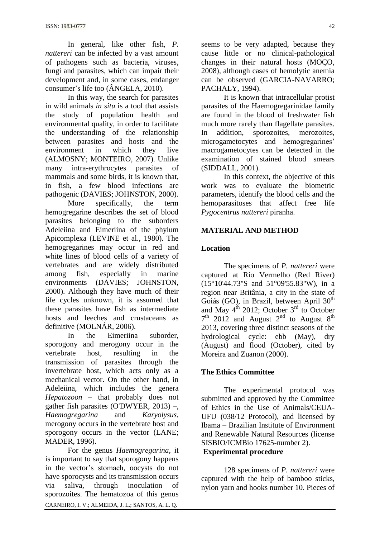In general, like other fish, *P. nattereri* can be infected by a vast amount of pathogens such as bacteria, viruses, fungi and parasites, which can impair their development and, in some cases, endanger consumer's life too (ÂNGELA, 2010).

In this way, the search for parasites in wild animals *in situ* is a tool that assists the study of population health and environmental quality, in order to facilitate the understanding of the relationship between parasites and hosts and the environment in which they live (ALMOSNY; MONTEIRO, 2007). Unlike many intra-erythrocytes parasites of mammals and some birds, it is known that, in fish, a few blood infections are pathogenic (DAVIES; JOHNSTON, 2000).

More specifically, the term hemogregarine describes the set of blood parasites belonging to the suborders Adeleiina and Eimeriina of the phylum Apicomplexa (LEVINE et al., 1980). The hemogregarines may occur in red and white lines of blood cells of a variety of vertebrates and are widely distributed among fish, especially in marine environments (DAVIES; JOHNSTON, 2000). Although they have much of their life cycles unknown, it is assumed that these parasites have fish as intermediate hosts and leeches and crustaceans as definitive (MOLNÁR, 2006).

In the Eimeriina suborder, sporogony and merogony occur in the vertebrate host, resulting in the transmission of parasites through the invertebrate host, which acts only as a mechanical vector. On the other hand, in Adeleiina, which includes the genera *Hepatozoon* – that probably does not gather fish parasites (O'DWYER, 2013) –, *Haemogregarina* and *Karyolysus*, merogony occurs in the vertebrate host and sporogony occurs in the vector (LANE; MADER, 1996).

For the genus *Haemogregarina*, it is important to say that sporogony happens in the vector's stomach, oocysts do not have sporocysts and its transmission occurs via saliva, through inoculation of sporozoites. The hematozoa of this genus seems to be very adapted, because they cause little or no clinical-pathological changes in their natural hosts (MOÇO, 2008), although cases of hemolytic anemia can be observed (GARCIA-NAVARRO; PACHALY, 1994).

It is known that intracellular protist parasites of the Haemogregarinidae family are found in the blood of freshwater fish much more rarely than flagellate parasites. In addition, sporozoites, merozoites, microgametocytes and hemogregarines' macrogametocytes can be detected in the examination of stained blood smears (SIDDALL, 2001).

In this context, the objective of this work was to evaluate the biometric parameters, identify the blood cells and the hemoparasitoses that affect free life *Pygocentrus nattereri* piranha.

## **MATERIAL AND METHOD**

## **Location**

The specimens of *P. nattereri* were captured at Rio Vermelho (Red River) (15°10'44.73''S and 51°09'55.83''W), in a region near Britânia, a city in the state of Goiás (GO), in Brazil, between April 30<sup>th</sup> and May  $4^{\text{th}}$  2012; October  $3^{\text{rd}}$  to October  $7<sup>th</sup>$  2012 and August  $2<sup>nd</sup>$  to August  $8<sup>th</sup>$ 2013, covering three distinct seasons of the hydrological cycle: ebb (May), dry (August) and flood (October), cited by Moreira and Zuanon (2000).

## **The Ethics Committee**

The experimental protocol was submitted and approved by the Committee of Ethics in the Use of Animals/CEUA-UFU (038/12 Protocol), and licensed by Ibama – Brazilian Institute of Environment and Renewable Natural Resources (license SISBIO/ICMBio 17625-number 2). **Experimental procedure**

128 specimens of *P. nattereri* were captured with the help of bamboo sticks, nylon yarn and hooks number 10. Pieces of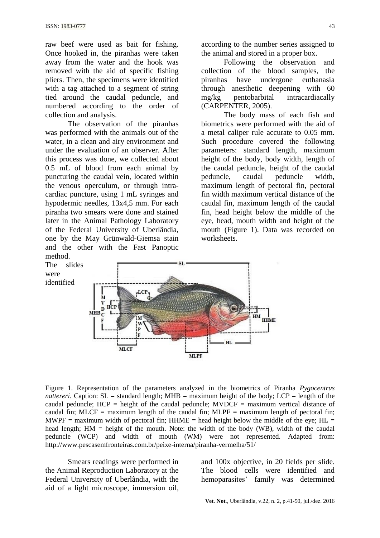were

raw beef were used as bait for fishing. Once hooked in, the piranhas were taken away from the water and the hook was removed with the aid of specific fishing pliers. Then, the specimens were identified with a tag attached to a segment of string tied around the caudal peduncle, and numbered according to the order of collection and analysis.

The observation of the piranhas was performed with the animals out of the water, in a clean and airy environment and under the evaluation of an observer. After this process was done, we collected about 0.5 mL of blood from each animal by puncturing the caudal vein, located within the venous operculum, or through intracardiac puncture, using 1 mL syringes and hypodermic needles, 13x4,5 mm. For each piranha two smears were done and stained later in the Animal Pathology Laboratory of the Federal University of Uberlândia, one by the May Grünwald-Giemsa stain and the other with the Fast Panoptic method.

according to the number series assigned to the animal and stored in a proper box.

Following the observation and collection of the blood samples, the piranhas have undergone euthanasia through anesthetic deepening with 60 mg/kg pentobarbital intracardiacally (CARPENTER, 2005).

The body mass of each fish and biometrics were performed with the aid of a metal caliper rule accurate to 0.05 mm. Such procedure covered the following parameters: standard length, maximum height of the body, body width, length of the caudal peduncle, height of the caudal peduncle, caudal peduncle width, maximum length of pectoral fin, pectoral fin width maximum vertical distance of the caudal fin, maximum length of the caudal fin, head height below the middle of the eye, head, mouth width and height of the mouth (Figure 1). Data was recorded on worksheets.



Figure 1. Representation of the parameters analyzed in the biometrics of Piranha *Pygocentrus nattereri*. Caption:  $SL =$  standard length; MHB = maximum height of the body;  $LCP =$  length of the caudal peduncle; HCP = height of the caudal peduncle; MVDCF = maximum vertical distance of caudal fin; MLCF = maximum length of the caudal fin; MLPF = maximum length of pectoral fin; MWPF = maximum width of pectoral fin;  $HHME$  = head height below the middle of the eye;  $HL$  = head length; HM = height of the mouth. Note: the width of the body (WB), width of the caudal peduncle (WCP) and width of mouth (WM) were not represented. Adapted from: http://www.pescasemfronteiras.com.br/peixe-interna/piranha-vermelha/51/

Smears readings were performed in the Animal Reproduction Laboratory at the Federal University of Uberlândia, with the aid of a light microscope, immersion oil, and 100x objective, in 20 fields per slide. The blood cells were identified and hemoparasites' family was determined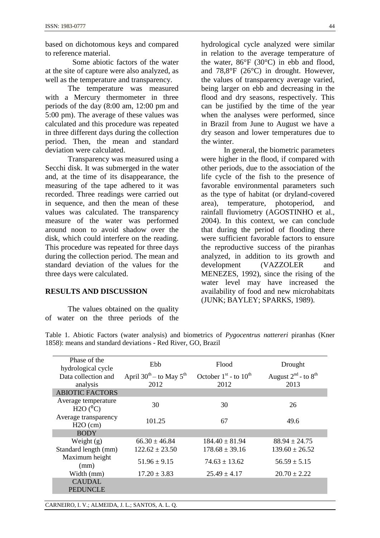based on dichotomous keys and compared to reference material.

Some abiotic factors of the water at the site of capture were also analyzed, as well as the temperature and transparency.

The temperature was measured with a Mercury thermometer in three periods of the day (8:00 am, 12:00 pm and 5:00 pm). The average of these values was calculated and this procedure was repeated in three different days during the collection period. Then, the mean and standard deviation were calculated.

Transparency was measured using a Secchi disk. It was submerged in the water and, at the time of its disappearance, the measuring of the tape adhered to it was recorded. Three readings were carried out in sequence, and then the mean of these values was calculated. The transparency measure of the water was performed around noon to avoid shadow over the disk, which could interfere on the reading. This procedure was repeated for three days during the collection period. The mean and standard deviation of the values for the three days were calculated.

## **RESULTS AND DISCUSSION**

The values obtained on the quality of water on the three periods of the hydrological cycle analyzed were similar in relation to the average temperature of the water, 86°F (30°C) in ebb and flood, and 78,8°F (26°C) in drought. However, the values of transparency average varied, being larger on ebb and decreasing in the flood and dry seasons, respectively. This can be justified by the time of the year when the analyses were performed, since

in Brazil from June to August we have a dry season and lower temperatures due to

the winter. In general, the biometric parameters were higher in the flood, if compared with other periods, due to the association of the life cycle of the fish to the presence of favorable environmental parameters such as the type of habitat (or dryland-covered area), temperature, photoperiod, and rainfall fluviometry (AGOSTINHO et al., 2004). In this context, we can conclude that during the period of flooding there were sufficient favorable factors to ensure the reproductive success of the piranhas analyzed, in addition to its growth and development (VAZZOLER and MENEZES, 1992), since the rising of the water level may have increased the availability of food and new microhabitats (JUNK; BAYLEY; SPARKS, 1989).

| Phase of the<br>hydrological cycle   | Ebb                                       | Flood                                    | Drought                                 |
|--------------------------------------|-------------------------------------------|------------------------------------------|-----------------------------------------|
| Data collection and<br>analysis      | April $30^{th}$ – to May $5^{th}$<br>2012 | October $1st$ - to $10th$<br>2012        | August $2^{nd}$ - to $8^{th}$<br>2013   |
| <b>ABIOTIC FACTORS</b>               |                                           |                                          |                                         |
| Average temperature<br>$H2O(^{0}C)$  | 30                                        | 30                                       | 26                                      |
| Average transparency<br>$H2O$ (cm)   | 101.25                                    | 67                                       | 49.6                                    |
| <b>BODY</b>                          |                                           |                                          |                                         |
| Weight $(g)$<br>Standard length (mm) | $66.30 \pm 46.84$<br>$122.62 \pm 23.50$   | $184.40 \pm 81.94$<br>$178.68 \pm 39.16$ | $88.94 \pm 24.75$<br>$139.60 \pm 26.52$ |
| Maximum height<br>(mm)               | $51.96 \pm 9.15$                          | $74.63 \pm 13.62$                        | $56.59 \pm 5.15$                        |
| Width (mm)                           | $17.20 \pm 3.83$                          | $25.49 \pm 4.17$                         | $20.70 \pm 2.22$                        |
| <b>CAUDAL</b><br>PEDUNCLE            |                                           |                                          |                                         |

Table 1. Abiotic Factors (water analysis) and biometrics of *Pygocentrus nattereri* piranhas (Kner 1858): means and standard deviations - Red River, GO, Brazil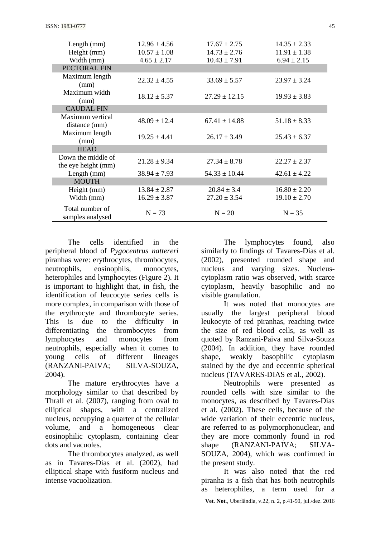| Length (mm)                               | $12.96 \pm 4.56$ | $17.67 \pm 2.75$  | $14.35 \pm 2.33$ |
|-------------------------------------------|------------------|-------------------|------------------|
| Height (mm)                               | $10.57 \pm 1.08$ | $14.73 \pm 2.76$  | $11.91 \pm 1.38$ |
| Width (mm)                                | $4.65 \pm 2.17$  | $10.43 \pm 7.91$  | $6.94 \pm 2.15$  |
| PECTORAL FIN                              |                  |                   |                  |
| Maximum length<br>(mm)                    | $22.32 \pm 4.55$ | $33.69 \pm 5.57$  | $23.97 \pm 3.24$ |
| Maximum width<br>(mm)                     | $18.12 \pm 5.37$ | $27.29 \pm 12.15$ | $19.93 \pm 3.83$ |
| <b>CAUDAL FIN</b>                         |                  |                   |                  |
| Maximum vertical<br>distance (mm)         | $48.09 \pm 12.4$ | $67.41 \pm 14.88$ | $51.18 \pm 8.33$ |
| Maximum length<br>(mm)                    | $19.25 \pm 4.41$ | $26.17 \pm 3.49$  | $25.43 \pm 6.37$ |
| <b>HEAD</b>                               |                  |                   |                  |
| Down the middle of<br>the eye height (mm) | $21.28 \pm 9.34$ | $27.34 \pm 8.78$  | $22.27 \pm 2.37$ |
| Length (mm)                               | $38.94 \pm 7.93$ | $54.33 \pm 10.44$ | $42.61 \pm 4.22$ |
| <b>MOUTH</b>                              |                  |                   |                  |
| Height (mm)                               | $13.84 \pm 2.87$ | $20.84 \pm 3.4$   | $16.80 \pm 2.20$ |
| Width (mm)                                | $16.29 \pm 3.87$ | $27.20 \pm 3.54$  | $19.10 \pm 2.70$ |
| Total number of<br>samples analysed       | $N = 73$         | $N = 20$          | $N = 35$         |

The cells identified in the peripheral blood of *Pygocentrus nattereri* piranhas were: erythrocytes, thrombocytes, neutrophils, eosinophils, monocytes, heterophiles and lymphocytes (Figure 2). It is important to highlight that, in fish, the identification of leucocyte series cells is more complex, in comparison with those of the erythrocyte and thrombocyte series. This is due to the difficulty in differentiating the thrombocytes from lymphocytes and monocytes from neutrophils, especially when it comes to young cells of different lineages (RANZANI-PAIVA; SILVA-SOUZA, 2004).

The mature erythrocytes have a morphology similar to that described by Thrall et al. (2007), ranging from oval to elliptical shapes, with a centralized nucleus, occupying a quarter of the cellular volume, and a homogeneous clear eosinophilic cytoplasm, containing clear dots and vacuoles.

The thrombocytes analyzed, as well as in Tavares-Dias et al. (2002), had elliptical shape with fusiform nucleus and intense vacuolization.

The lymphocytes found, also similarly to findings of Tavares-Dias et al. (2002), presented rounded shape and nucleus and varying sizes. Nucleuscytoplasm ratio was observed, with scarce cytoplasm, heavily basophilic and no visible granulation.

It was noted that monocytes are usually the largest peripheral blood leukocyte of red piranhas, reaching twice the size of red blood cells, as well as quoted by Ranzani-Paiva and Silva-Souza (2004). In addition, they have rounded shape, weakly basophilic cytoplasm stained by the dye and eccentric spherical nucleus (TAVARES-DIAS et al., 2002).

Neutrophils were presented as rounded cells with size similar to the monocytes, as described by Tavares-Dias et al. (2002). These cells, because of the wide variation of their eccentric nucleus, are referred to as polymorphonuclear, and they are more commonly found in rod shape (RANZANI-PAIVA: SILVA-SOUZA, 2004), which was confirmed in the present study.

It was also noted that the red piranha is a fish that has both neutrophils as heterophiles, a term used for a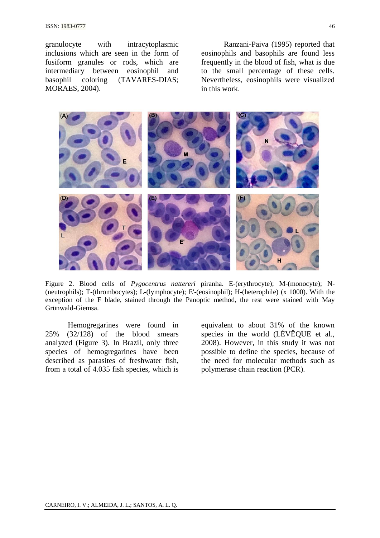granulocyte with intracytoplasmic inclusions which are seen in the form of fusiform granules or rods, which are intermediary between eosinophil and basophil coloring (TAVARES-DIAS; MORAES, 2004).

Ranzani-Paiva (1995) reported that eosinophils and basophils are found less frequently in the blood of fish, what is due to the small percentage of these cells. Nevertheless, eosinophils were visualized in this work.



Figure 2. Blood cells of *Pygocentrus nattereri* piranha. E-(erythrocyte); M-(monocyte); N- (neutrophils); T-(thrombocytes); L-(lymphocyte); E'-(eosinophil); H-(heterophile) (x 1000). With the exception of the F blade, stained through the Panoptic method, the rest were stained with May Grünwald-Giemsa.

Hemogregarines were found in 25% (32/128) of the blood smears analyzed (Figure 3). In Brazil, only three species of hemogregarines have been described as parasites of freshwater fish, from a total of 4.035 fish species, which is equivalent to about 31% of the known species in the world (LÉVÊQUE et al., 2008). However, in this study it was not possible to define the species, because of the need for molecular methods such as polymerase chain reaction (PCR).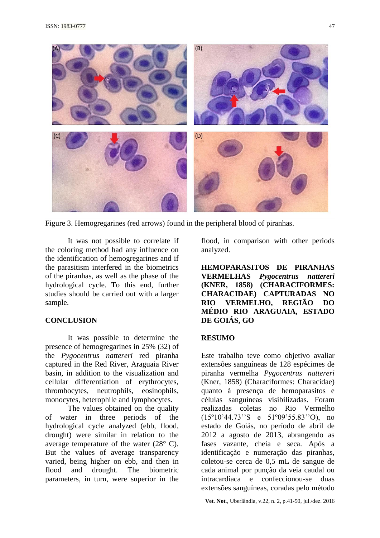

Figure 3. Hemogregarines (red arrows) found in the peripheral blood of piranhas.

It was not possible to correlate if the coloring method had any influence on the identification of hemogregarines and if the parasitism interfered in the biometrics of the piranhas, as well as the phase of the hydrological cycle. To this end, further studies should be carried out with a larger sample.

## **CONCLUSION**

It was possible to determine the presence of hemogregarines in 25% (32) of the *Pygocentrus nattereri* red piranha captured in the Red River, Araguaia River basin, in addition to the visualization and cellular differentiation of erythrocytes, thrombocytes, neutrophils, eosinophils, monocytes, heterophile and lymphocytes.

The values obtained on the quality of water in three periods of the hydrological cycle analyzed (ebb, flood, drought) were similar in relation to the average temperature of the water (28° C). But the values of average transparency varied, being higher on ebb, and then in flood and drought. The biometric parameters, in turn, were superior in the

flood, in comparison with other periods analyzed.

**HEMOPARASITOS DE PIRANHAS VERMELHAS** *Pygocentrus nattereri* **(KNER, 1858) (CHARACIFORMES: CHARACIDAE) CAPTURADAS NO RIO VERMELHO, REGIÃO DO MÉDIO RIO ARAGUAIA, ESTADO DE GOIÁS, GO**

## **RESUMO**

Este trabalho teve como objetivo avaliar extensões sanguíneas de 128 espécimes de piranha vermelha *Pygocentrus nattereri* (Kner, 1858) (Characiformes: Characidae) quanto à presença de hemoparasitos e células sanguíneas visibilizadas. Foram realizadas coletas no Rio Vermelho (15º10'44.73''S e 51º09'55.83''O), no estado de Goiás, no período de abril de 2012 a agosto de 2013, abrangendo as fases vazante, cheia e seca. Após a identificação e numeração das piranhas, coletou-se cerca de 0,5 mL de sangue de cada animal por punção da veia caudal ou intracardíaca e confeccionou-se duas extensões sanguíneas, coradas pelo método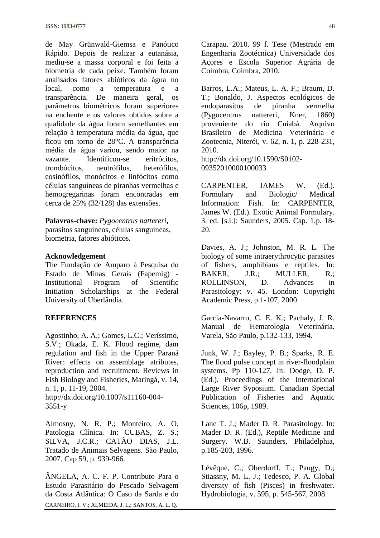de May Grünwald-Giemsa e Panótico Rápido. Depois de realizar a eutanásia, mediu-se a massa corporal e foi feita a biometria de cada peixe. Também foram analisados fatores abióticos da água no local, como a temperatura e a transparência. De maneira geral, os parâmetros biométricos foram superiores na enchente e os valores obtidos sobre a qualidade da água foram semelhantes em relação à temperatura média da água, que ficou em torno de 28°C. A transparência média da água variou, sendo maior na vazante. Identificou-se eritrócitos, trombócitos, neutrófilos, heterófilos, eosinófilos, monócitos e linfócitos como células sanguíneas de piranhas vermelhas e hemogregarinas foram encontradas em cerca de 25% (32/128) das extensões.

#### **Palavras-chave:** *Pygocentrus nattereri***,**

parasitos sanguíneos, células sanguíneas, biometria, fatores abióticos.

#### **Acknowledgement**

The Fundação de Amparo à Pesquisa do Estado de Minas Gerais (Fapemig) - Institutional Program of Scientific Initiation Scholarships at the Federal University of Uberlândia.

#### **REFERENCES**

Agostinho, A. A.; Gomes, L.C.; Veríssimo, S.V.; Okada, E. K. Flood regime, dam regulation and fish in the Upper Paraná River: effects on assemblage atributes, reproduction and recruitment. Reviews in Fish Biology and Fisheries, Maringá, v. 14, n. 1, p. 11-19, 2004. http://dx.doi.org/10.1007/s11160-004-

3551-y

Almosny, N. R. P.; Monteiro, A. O. Patologia Clínica. In: CUBAS, Z. S.; SILVA, J.C.R.; CATÃO DIAS, J.L. Tratado de Animais Selvagens. São Paulo, 2007. Cap 59, p. 939-966.

CARNEIRO, I. V.; ALMEIDA, J. L.; SANTOS, A. L. Q. ÂNGELA, A. C. F. P. Contributo Para o Estudo Parasitário do Pescado Selvagem da Costa Atlântica: O Caso da Sarda e do Carapau. 2010. 99 f. Tese (Mestrado em Engenharia Zootécnica) Universidade dos Açores e Escola Superior Agrária de Coimbra, Coimbra, 2010.

Barros, L.A.; Mateus, L. A. F.; Braum, D. T.; Bonaldo, J. Aspectos ecológicos de endoparasitos de piranha vermelha (Pygocentrus nattereri, Kner, 1860) proveniente do rio Cuiabá. Arquivo Brasileiro de Medicina Veterinária e Zootecnia, Niterói, v. 62, n. 1, p. 228-231, 2010. http://dx.doi.org/10.1590/S0102-

09352010000100033

CARPENTER, JAMES W. (Ed.). Formulary and Biologic/ Medical Information: Fish. In: CARPENTER, James W. (Ed.). Exotic Animal Formulary. 3. ed. [s.i.]: Saunders, 2005. Cap. 1,p. 18- 20.

Davies, A. J.; Johnston, M. R. L. The biology of some intraerythrocytic parasites of fishers, amphibians e reptiles. In: BAKER, J.R.; MULLER, R.; ROLLINSON, D. Advances in Parasitology: v. 45. London: Copyright Academic Press, p.1-107, 2000.

Garcia-Navarro, C. E. K.; Pachaly, J. R. Manual de Hematologia Veterinária. Varela, São Paulo, p.132-133, 1994.

Junk, W. J.; Bayley, P. B.; Sparks, R. E. The flood pulse concept in river-floodplain systems. Pp 110-127. In: Dodge, D. P. (Ed.). Proceedings of the International Large River Syposium. Canadian Special Publication of Fisheries and Aquatic Sciences, 106p, 1989.

Lane T. J.; Mader D. R. Parasitology. In: Mader D. R. (Ed.), Reptile Medicine and Surgery. W.B. Saunders, Philadelphia, p.185-203, 1996.

Lévêque, C.; Oberdorff, T.; Paugy, D.; Stiassny, M. L. J.; Tedesco, P. A. Global diversity of fish (Pisces) in freshwater. Hydrobiologia, v. 595, p. 545-567, 2008.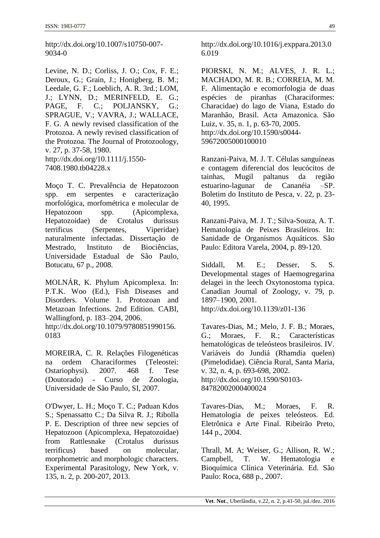http://dx.doi.org/10.1007/s10750-007- 9034-0

Levine, N. D.; Corliss, J. O.; Cox, F. E.; Deroux, G.; Grain, J.; Honigberg, B. M.; Leedale, G. F.; Loeblich, A. R. 3rd.; LOM, J.; LYNN, D.; MERINFELD, E. G.; PAGE, F. C.; POLJANSKY, G.; SPRAGUE, V.; VAVRA, J.; WALLACE, F. G. A newly revised classification of the Protozoa. A newly revised classification of the Protozoa. The Journal of Protozoology, v. 27, p. 37-58, 1980. http://dx.doi.org/10.1111/j.1550- 7408.1980.tb04228.x

Moço T. C. Prevalência de Hepatozoon spp. em serpentes e caracterização morfológica, morfométrica e molecular de Hepatozoon spp. (Apicomplexa, Hepatozoidae) de Crotalus durissus terrificus (Serpentes, Viperidae) naturalmente infectadas. Dissertação de Mestrado, Instituto de Biociências, Universidade Estadual de São Paulo, Botucatu, 67 p., 2008.

MOLNÁR, K. Phylum Apicomplexa. In: P.T.K. Woo (Ed.), Fish Diseases and Disorders. Volume 1. Protozoan and Metazoan Infections. 2nd Edition. CABI, Wallingford, p. 183–204, 2006. http://dx.doi.org/10.1079/9780851990156. 0183

MOREIRA, C. R. Relações Filogenéticas na ordem Characiformes (Teleostei: Ostariophysi). 2007. 468 f. Tese (Doutorado) - Curso de Zoologia, Universidade de São Paulo, SI, 2007.

O'Dwyer, L. H.; Moço T. C.; Paduan Kdos S.; Spenassatto C.; Da Silva R. J.; Ribolla P. E. Description of three new sepcies of Hepatozoon (Apicomplexa, Hepatozoidae) from Rattlesnake (Crotalus durissus terrificus) based on molecular, morphometric and morphologic characters. Experimental Parasitology, New York, v. 135, n. 2, p. 200-207, 2013.

http://dx.doi.org/10.1016/j.exppara.2013.0 6.019

PIORSKI, N. M.; ALVES, J. R. L.; MACHADO, M. R. B.; CORREIA, M. M. F. Alimentação e ecomorfologia de duas espécies de piranhas (Characiformes: Characidae) do lago de Viana, Estado do Maranhão, Brasil. Acta Amazonica. São Luiz, v. 35, n. 1, p. 63-70, 2005. http://dx.doi.org/10.1590/s0044- 59672005000100010

Ranzani-Paiva, M. J. T. Células sanguíneas e contagem diferencial dos leucócitos de tainhas, Mugil paltanus da região estuarino-lagunar de Cananéia –SP. Boletim do Instituto de Pesca, v. 22, p. 23- 40, 1995.

Ranzani-Paiva, M. J. T.; Silva-Souza, A. T. Hematologia de Peixes Brasileiros. In: Sanidade de Organismos Aquáticos. São Paulo: Editora Varela, 2004, p. 89-120.

Siddall, M. E.: Desser, S. S. Developmental stages of Haemogregarina delagei in the leech Oxytonostoma typica. Canadian Journal of Zoology, v. 79, p. 1897–1900, 2001. http://dx.doi.org/10.1139/z01-136

Tavares-Dias, M.; Melo, J. F. B.; Moraes, G.; Moraes, F. R.; Características hematológicas de teleósteos brasileiros. IV. Variáveis do Jundiá (Rhamdia quelen) (Pimelodidae). Ciência Rural, Santa Maria, v. 32, n. 4, p. 693-698, 2002. http://dx.doi.org/10.1590/S0103- 84782002000400024

Tavares-Dias, M.; Moraes, F. R. Hematologia de peixes teleósteos. Ed. Eletrônica e Arte Final. Ribeirão Preto, 144 p., 2004.

Thrall, M. A; Weiser, G.; Allison, R. W.; Campbell, T. W. Hematologia Bioquímica Clínica Veterinária. Ed. São Paulo: Roca, 688 p., 2007.